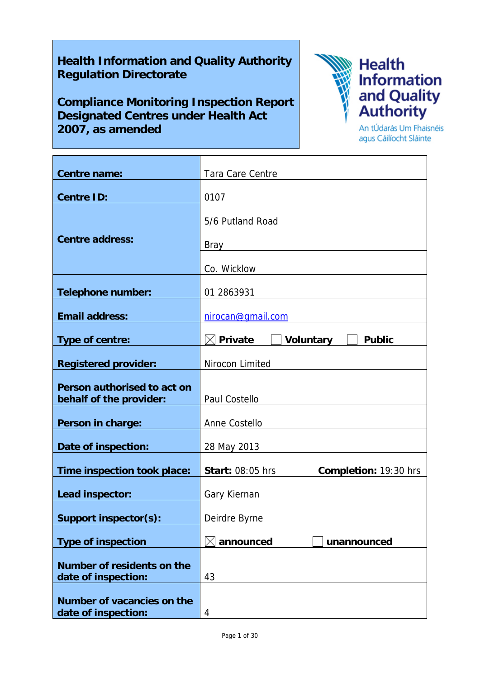# **Health Information and Quality Authority Regulation Directorate**

**Compliance Monitoring Inspection Report Designated Centres under Health Act 2007, as amended**



Information<br>and Quality<br>Authority

An tÚdarás Um Fhaisnéis agus Cáilíocht Sláinte

| <b>Centre name:</b>                                    | Tara Care Centre                                         |
|--------------------------------------------------------|----------------------------------------------------------|
| <b>Centre ID:</b>                                      | 0107                                                     |
| <b>Centre address:</b>                                 | 5/6 Putland Road<br>Bray                                 |
|                                                        | Co. Wicklow                                              |
| <b>Telephone number:</b>                               | 01 2863931                                               |
| <b>Email address:</b>                                  | nirocan@gmail.com                                        |
| Type of centre:                                        | $\boxtimes$ Private<br><b>Voluntary</b><br><b>Public</b> |
| <b>Registered provider:</b>                            | Nirocon Limited                                          |
| Person authorised to act on<br>behalf of the provider: | Paul Costello                                            |
| Person in charge:                                      | Anne Costello                                            |
| Date of inspection:                                    | 28 May 2013                                              |
| Time inspection took place:                            | <b>Start: 08:05 hrs</b><br>Completion: 19:30 hrs         |
| Lead inspector:                                        | Gary Kiernan                                             |
| <b>Support inspector(s):</b>                           | Deirdre Byrne                                            |
| <b>Type of inspection</b>                              | announced<br>unannounced                                 |
| Number of residents on the<br>date of inspection:      | 43                                                       |
| Number of vacancies on the<br>date of inspection:      | 4                                                        |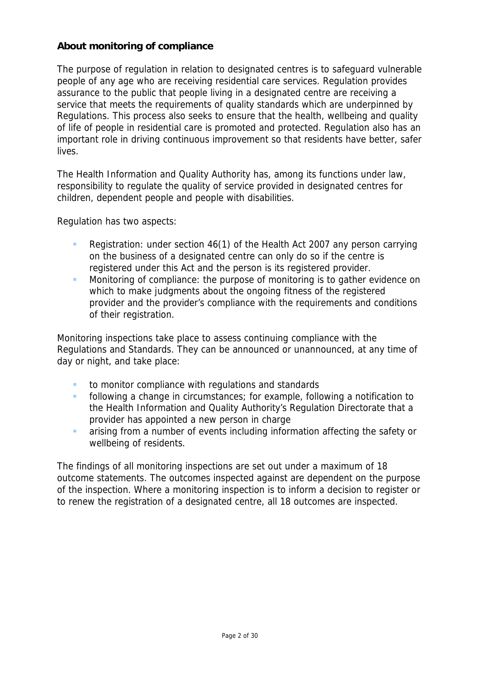# **About monitoring of compliance**

The purpose of regulation in relation to designated centres is to safeguard vulnerable people of any age who are receiving residential care services. Regulation provides assurance to the public that people living in a designated centre are receiving a service that meets the requirements of quality standards which are underpinned by Regulations. This process also seeks to ensure that the health, wellbeing and quality of life of people in residential care is promoted and protected. Regulation also has an important role in driving continuous improvement so that residents have better, safer lives.

The Health Information and Quality Authority has, among its functions under law, responsibility to regulate the quality of service provided in designated centres for children, dependent people and people with disabilities.

Regulation has two aspects:

- Registration: under section 46(1) of the Health Act 2007 any person carrying on the business of a designated centre can only do so if the centre is registered under this Act and the person is its registered provider.
- **Monitoring of compliance: the purpose of monitoring is to gather evidence on** which to make judgments about the ongoing fitness of the registered provider and the provider's compliance with the requirements and conditions of their registration.

Monitoring inspections take place to assess continuing compliance with the Regulations and Standards. They can be announced or unannounced, at any time of day or night, and take place:

- to monitor compliance with regulations and standards
- **following a change in circumstances; for example, following a notification to** the Health Information and Quality Authority's Regulation Directorate that a provider has appointed a new person in charge
- **a** arising from a number of events including information affecting the safety or wellbeing of residents.

The findings of all monitoring inspections are set out under a maximum of 18 outcome statements. The outcomes inspected against are dependent on the purpose of the inspection. Where a monitoring inspection is to inform a decision to register or to renew the registration of a designated centre, all 18 outcomes are inspected.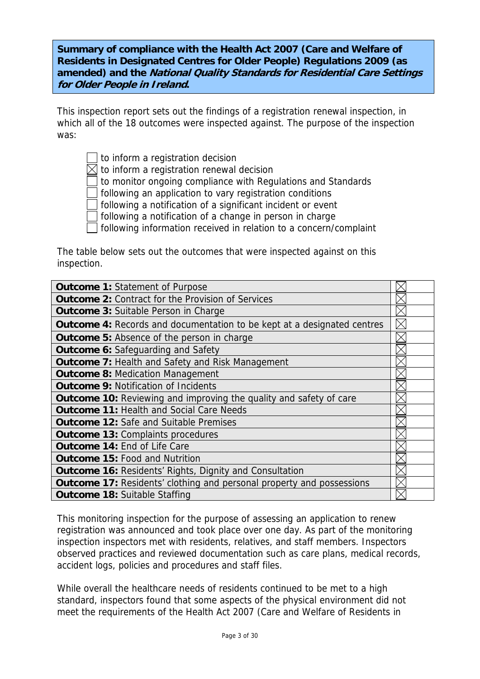**Summary of compliance with the Health Act 2007 (Care and Welfare of Residents in Designated Centres for Older People) Regulations 2009 (as amended) and the National Quality Standards for Residential Care Settings for Older People in Ireland.**

This inspection report sets out the findings of a registration renewal inspection, in which all of the 18 outcomes were inspected against. The purpose of the inspection was:

to inform a registration decision

 $\boxtimes$  to inform a registration renewal decision

to monitor ongoing compliance with Regulations and Standards

following an application to vary registration conditions

following a notification of a significant incident or event

following a notification of a change in person in charge

following information received in relation to a concern/complaint

The table below sets out the outcomes that were inspected against on this inspection.

| <b>Outcome 1: Statement of Purpose</b>                                         |  |
|--------------------------------------------------------------------------------|--|
| <b>Outcome 2: Contract for the Provision of Services</b>                       |  |
| <b>Outcome 3: Suitable Person in Charge</b>                                    |  |
| <b>Outcome 4:</b> Records and documentation to be kept at a designated centres |  |
| Outcome 5: Absence of the person in charge                                     |  |
| <b>Outcome 6: Safeguarding and Safety</b>                                      |  |
| <b>Outcome 7: Health and Safety and Risk Management</b>                        |  |
| <b>Outcome 8: Medication Management</b>                                        |  |
| <b>Outcome 9: Notification of Incidents</b>                                    |  |
| Outcome 10: Reviewing and improving the quality and safety of care             |  |
| <b>Outcome 11: Health and Social Care Needs</b>                                |  |
| <b>Outcome 12: Safe and Suitable Premises</b>                                  |  |
| <b>Outcome 13: Complaints procedures</b>                                       |  |
| <b>Outcome 14: End of Life Care</b>                                            |  |
| <b>Outcome 15: Food and Nutrition</b>                                          |  |
| <b>Outcome 16: Residents' Rights, Dignity and Consultation</b>                 |  |
| <b>Outcome 17: Residents' clothing and personal property and possessions</b>   |  |
| <b>Outcome 18: Suitable Staffing</b>                                           |  |

This monitoring inspection for the purpose of assessing an application to renew registration was announced and took place over one day. As part of the monitoring inspection inspectors met with residents, relatives, and staff members. Inspectors observed practices and reviewed documentation such as care plans, medical records, accident logs, policies and procedures and staff files.

While overall the healthcare needs of residents continued to be met to a high standard, inspectors found that some aspects of the physical environment did not meet the requirements of the Health Act 2007 (Care and Welfare of Residents in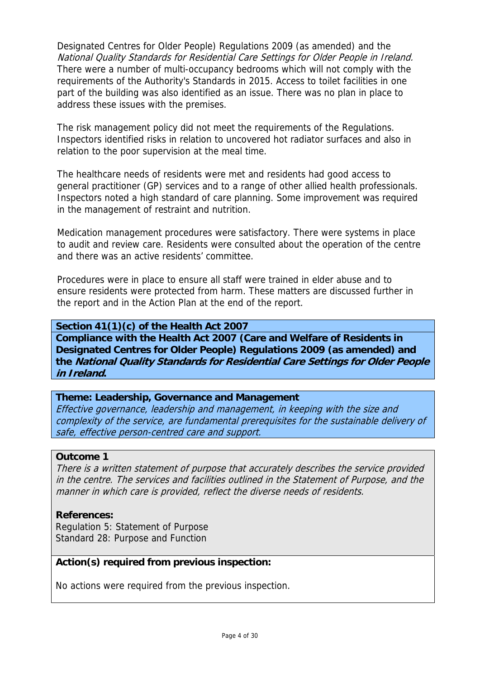Designated Centres for Older People) Regulations 2009 (as amended) and the National Quality Standards for Residential Care Settings for Older People in Ireland. There were a number of multi-occupancy bedrooms which will not comply with the requirements of the Authority's Standards in 2015. Access to toilet facilities in one part of the building was also identified as an issue. There was no plan in place to address these issues with the premises.

The risk management policy did not meet the requirements of the Regulations. Inspectors identified risks in relation to uncovered hot radiator surfaces and also in relation to the poor supervision at the meal time.

The healthcare needs of residents were met and residents had good access to general practitioner (GP) services and to a range of other allied health professionals. Inspectors noted a high standard of care planning. Some improvement was required in the management of restraint and nutrition.

Medication management procedures were satisfactory. There were systems in place to audit and review care. Residents were consulted about the operation of the centre and there was an active residents' committee.

Procedures were in place to ensure all staff were trained in elder abuse and to ensure residents were protected from harm. These matters are discussed further in the report and in the Action Plan at the end of the report.

**Section 41(1)(c) of the Health Act 2007 Compliance with the Health Act 2007 (Care and Welfare of Residents in Designated Centres for Older People) Regulations 2009 (as amended) and the National Quality Standards for Residential Care Settings for Older People in Ireland.** 

#### **Theme: Leadership, Governance and Management**

Effective governance, leadership and management, in keeping with the size and complexity of the service, are fundamental prerequisites for the sustainable delivery of safe, effective person-centred care and support.

#### **Outcome 1**

There is a written statement of purpose that accurately describes the service provided in the centre. The services and facilities outlined in the Statement of Purpose, and the manner in which care is provided, reflect the diverse needs of residents.

#### **References:**

Regulation 5: Statement of Purpose Standard 28: Purpose and Function

# **Action(s) required from previous inspection:**

No actions were required from the previous inspection.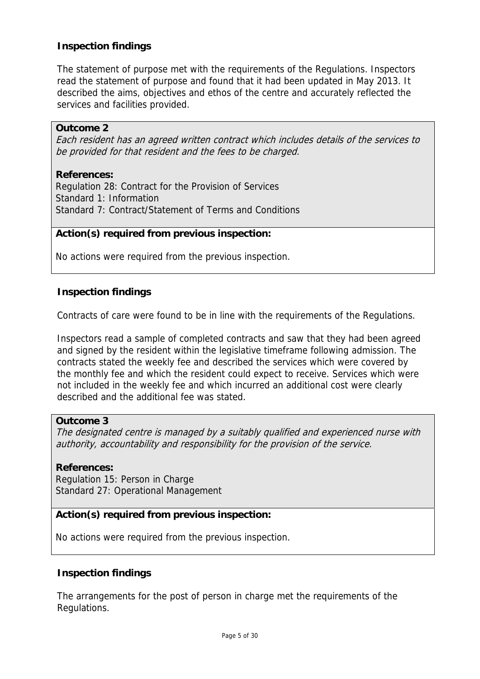# **Inspection findings**

The statement of purpose met with the requirements of the Regulations. Inspectors read the statement of purpose and found that it had been updated in May 2013. It described the aims, objectives and ethos of the centre and accurately reflected the services and facilities provided.

#### **Outcome 2**

Each resident has an agreed written contract which includes details of the services to be provided for that resident and the fees to be charged.

#### **References:**

Regulation 28: Contract for the Provision of Services Standard 1: Information Standard 7: Contract/Statement of Terms and Conditions

#### **Action(s) required from previous inspection:**

No actions were required from the previous inspection.

#### **Inspection findings**

Contracts of care were found to be in line with the requirements of the Regulations.

Inspectors read a sample of completed contracts and saw that they had been agreed and signed by the resident within the legislative timeframe following admission. The contracts stated the weekly fee and described the services which were covered by the monthly fee and which the resident could expect to receive. Services which were not included in the weekly fee and which incurred an additional cost were clearly described and the additional fee was stated.

#### **Outcome 3**

The designated centre is managed by a suitably qualified and experienced nurse with authority, accountability and responsibility for the provision of the service.

#### **References:**

Regulation 15: Person in Charge Standard 27: Operational Management

#### **Action(s) required from previous inspection:**

No actions were required from the previous inspection.

#### **Inspection findings**

The arrangements for the post of person in charge met the requirements of the Regulations.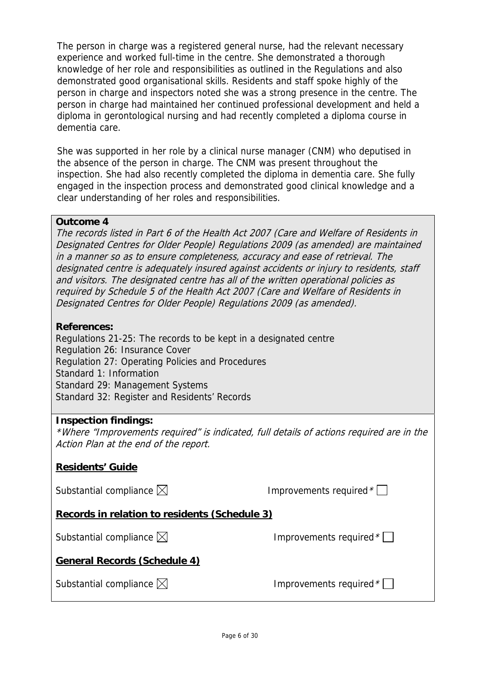The person in charge was a registered general nurse, had the relevant necessary experience and worked full-time in the centre. She demonstrated a thorough knowledge of her role and responsibilities as outlined in the Regulations and also demonstrated good organisational skills. Residents and staff spoke highly of the person in charge and inspectors noted she was a strong presence in the centre. The person in charge had maintained her continued professional development and held a diploma in gerontological nursing and had recently completed a diploma course in dementia care.

She was supported in her role by a clinical nurse manager (CNM) who deputised in the absence of the person in charge. The CNM was present throughout the inspection. She had also recently completed the diploma in dementia care. She fully engaged in the inspection process and demonstrated good clinical knowledge and a clear understanding of her roles and responsibilities.

#### **Outcome 4**

The records listed in Part 6 of the Health Act 2007 (Care and Welfare of Residents in Designated Centres for Older People) Regulations 2009 (as amended) are maintained in a manner so as to ensure completeness, accuracy and ease of retrieval. The designated centre is adequately insured against accidents or injury to residents, staff and visitors. The designated centre has all of the written operational policies as required by Schedule 5 of the Health Act 2007 (Care and Welfare of Residents in Designated Centres for Older People) Regulations 2009 (as amended).

#### **References:**

Regulations 21-25: The records to be kept in a designated centre Regulation 26: Insurance Cover Regulation 27: Operating Policies and Procedures Standard 1: Information Standard 29: Management Systems Standard 32: Register and Residents' Records

#### **Inspection findings:**

\*Where "Improvements required" is indicated, full details of actions required are in the Action Plan at the end of the report.

#### **Residents' Guide**

Substantial compliance  $\boxtimes$  improvements required  $^*$   $\Box$ 

#### **Records in relation to residents (Schedule 3)**

Substantial compliance  $\boxtimes$  improvements required  $^{\star}\Box$ 

**General Records (Schedule 4)**

| Substantial compliance $\boxtimes$ |  |
|------------------------------------|--|
|------------------------------------|--|

Improvements required  $*$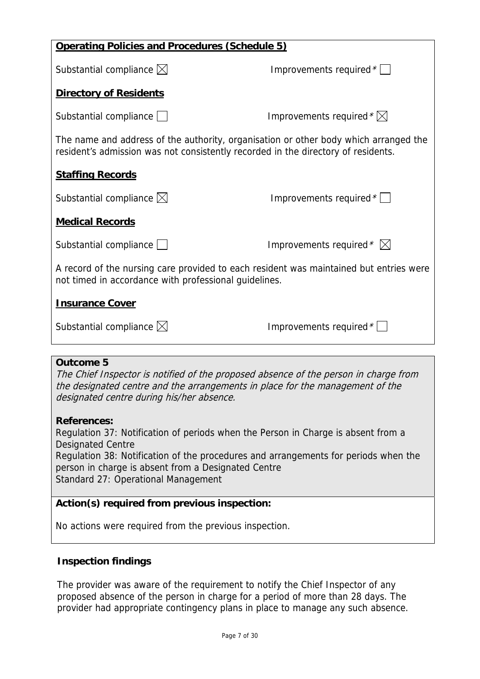| <b>Operating Policies and Procedures (Schedule 5)</b>                                                                                                                     |                                     |  |
|---------------------------------------------------------------------------------------------------------------------------------------------------------------------------|-------------------------------------|--|
| Substantial compliance $\boxtimes$                                                                                                                                        | Improvements required $*$           |  |
| <b>Directory of Residents</b>                                                                                                                                             |                                     |  |
| Substantial compliance                                                                                                                                                    | Improvements required $*\boxtimes$  |  |
| The name and address of the authority, organisation or other body which arranged the<br>resident's admission was not consistently recorded in the directory of residents. |                                     |  |
| <b>Staffing Records</b>                                                                                                                                                   |                                     |  |
| Substantial compliance $\boxtimes$                                                                                                                                        | Improvements required $*$           |  |
| <b>Medical Records</b>                                                                                                                                                    |                                     |  |
| Substantial compliance                                                                                                                                                    | Improvements required $* \boxtimes$ |  |
| A record of the nursing care provided to each resident was maintained but entries were<br>not timed in accordance with professional guidelines.                           |                                     |  |
| <b>Insurance Cover</b>                                                                                                                                                    |                                     |  |
| Substantial compliance $\boxtimes$                                                                                                                                        | Improvements required *             |  |
|                                                                                                                                                                           |                                     |  |

# **Outcome 5**

The Chief Inspector is notified of the proposed absence of the person in charge from the designated centre and the arrangements in place for the management of the designated centre during his/her absence.

# **References:**

Regulation 37: Notification of periods when the Person in Charge is absent from a Designated Centre Regulation 38: Notification of the procedures and arrangements for periods when the person in charge is absent from a Designated Centre Standard 27: Operational Management

# **Action(s) required from previous inspection:**

No actions were required from the previous inspection.

# **Inspection findings**

The provider was aware of the requirement to notify the Chief Inspector of any proposed absence of the person in charge for a period of more than 28 days. The provider had appropriate contingency plans in place to manage any such absence.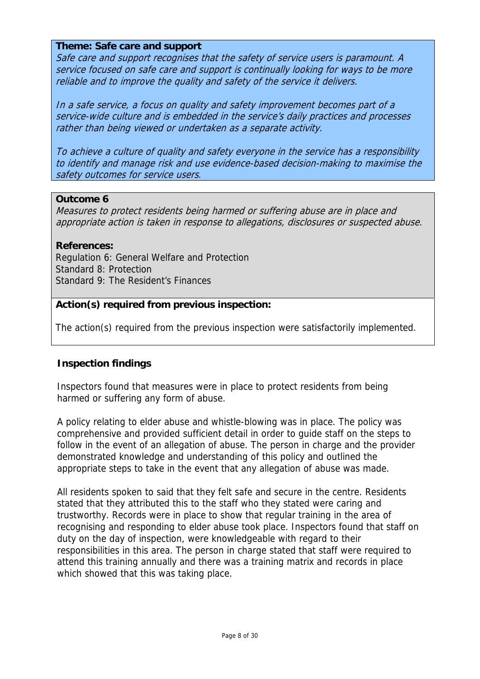#### **Theme: Safe care and support**

Safe care and support recognises that the safety of service users is paramount. A service focused on safe care and support is continually looking for ways to be more reliable and to improve the quality and safety of the service it delivers.

In a safe service, a focus on quality and safety improvement becomes part of a service-wide culture and is embedded in the service's daily practices and processes rather than being viewed or undertaken as a separate activity.

To achieve a culture of quality and safety everyone in the service has a responsibility to identify and manage risk and use evidence-based decision-making to maximise the safety outcomes for service users.

#### **Outcome 6**

Measures to protect residents being harmed or suffering abuse are in place and appropriate action is taken in response to allegations, disclosures or suspected abuse.

#### **References:**

Regulation 6: General Welfare and Protection Standard 8: Protection Standard 9: The Resident's Finances

### **Action(s) required from previous inspection:**

The action(s) required from the previous inspection were satisfactorily implemented.

#### **Inspection findings**

Inspectors found that measures were in place to protect residents from being harmed or suffering any form of abuse.

A policy relating to elder abuse and whistle-blowing was in place. The policy was comprehensive and provided sufficient detail in order to guide staff on the steps to follow in the event of an allegation of abuse. The person in charge and the provider demonstrated knowledge and understanding of this policy and outlined the appropriate steps to take in the event that any allegation of abuse was made.

All residents spoken to said that they felt safe and secure in the centre. Residents stated that they attributed this to the staff who they stated were caring and trustworthy. Records were in place to show that regular training in the area of recognising and responding to elder abuse took place. Inspectors found that staff on duty on the day of inspection, were knowledgeable with regard to their responsibilities in this area. The person in charge stated that staff were required to attend this training annually and there was a training matrix and records in place which showed that this was taking place.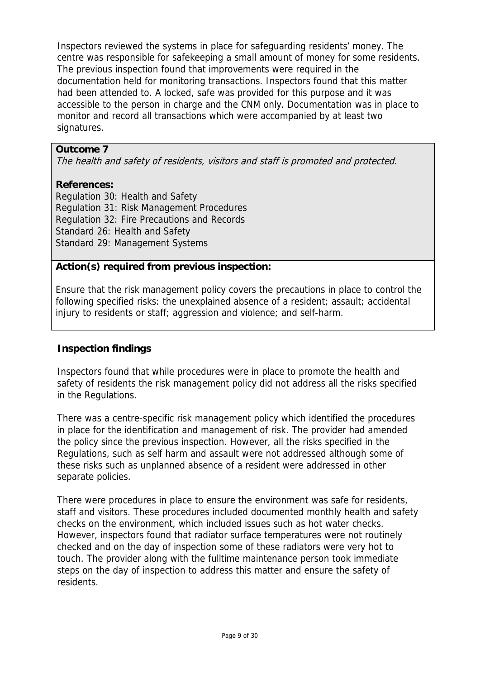Inspectors reviewed the systems in place for safeguarding residents' money. The centre was responsible for safekeeping a small amount of money for some residents. The previous inspection found that improvements were required in the documentation held for monitoring transactions. Inspectors found that this matter had been attended to. A locked, safe was provided for this purpose and it was accessible to the person in charge and the CNM only. Documentation was in place to monitor and record all transactions which were accompanied by at least two signatures.

## **Outcome 7**

The health and safety of residents, visitors and staff is promoted and protected.

#### **References:**

Regulation 30: Health and Safety Regulation 31: Risk Management Procedures Regulation 32: Fire Precautions and Records Standard 26: Health and Safety Standard 29: Management Systems

# **Action(s) required from previous inspection:**

Ensure that the risk management policy covers the precautions in place to control the following specified risks: the unexplained absence of a resident; assault; accidental injury to residents or staff; aggression and violence; and self-harm.

# **Inspection findings**

Inspectors found that while procedures were in place to promote the health and safety of residents the risk management policy did not address all the risks specified in the Regulations.

There was a centre-specific risk management policy which identified the procedures in place for the identification and management of risk. The provider had amended the policy since the previous inspection. However, all the risks specified in the Regulations, such as self harm and assault were not addressed although some of these risks such as unplanned absence of a resident were addressed in other separate policies.

There were procedures in place to ensure the environment was safe for residents, staff and visitors. These procedures included documented monthly health and safety checks on the environment, which included issues such as hot water checks. However, inspectors found that radiator surface temperatures were not routinely checked and on the day of inspection some of these radiators were very hot to touch. The provider along with the fulltime maintenance person took immediate steps on the day of inspection to address this matter and ensure the safety of residents.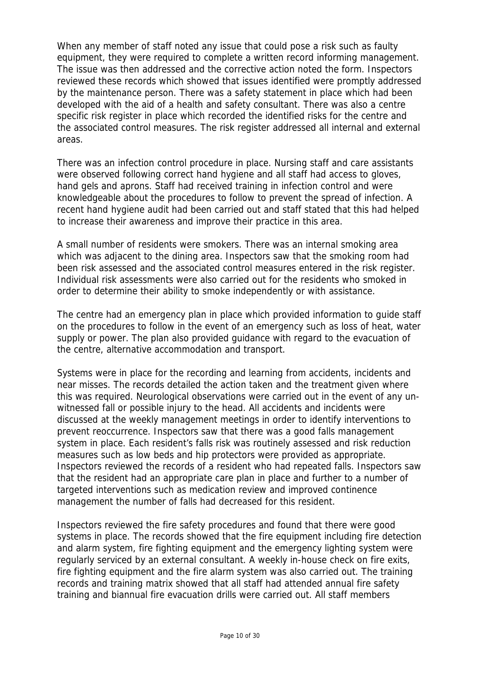When any member of staff noted any issue that could pose a risk such as faulty equipment, they were required to complete a written record informing management. The issue was then addressed and the corrective action noted the form. Inspectors reviewed these records which showed that issues identified were promptly addressed by the maintenance person. There was a safety statement in place which had been developed with the aid of a health and safety consultant. There was also a centre specific risk register in place which recorded the identified risks for the centre and the associated control measures. The risk register addressed all internal and external areas.

There was an infection control procedure in place. Nursing staff and care assistants were observed following correct hand hygiene and all staff had access to gloves, hand gels and aprons. Staff had received training in infection control and were knowledgeable about the procedures to follow to prevent the spread of infection. A recent hand hygiene audit had been carried out and staff stated that this had helped to increase their awareness and improve their practice in this area.

A small number of residents were smokers. There was an internal smoking area which was adjacent to the dining area. Inspectors saw that the smoking room had been risk assessed and the associated control measures entered in the risk register. Individual risk assessments were also carried out for the residents who smoked in order to determine their ability to smoke independently or with assistance.

The centre had an emergency plan in place which provided information to guide staff on the procedures to follow in the event of an emergency such as loss of heat, water supply or power. The plan also provided guidance with regard to the evacuation of the centre, alternative accommodation and transport.

Systems were in place for the recording and learning from accidents, incidents and near misses. The records detailed the action taken and the treatment given where this was required. Neurological observations were carried out in the event of any unwitnessed fall or possible injury to the head. All accidents and incidents were discussed at the weekly management meetings in order to identify interventions to prevent reoccurrence. Inspectors saw that there was a good falls management system in place. Each resident's falls risk was routinely assessed and risk reduction measures such as low beds and hip protectors were provided as appropriate. Inspectors reviewed the records of a resident who had repeated falls. Inspectors saw that the resident had an appropriate care plan in place and further to a number of targeted interventions such as medication review and improved continence management the number of falls had decreased for this resident.

Inspectors reviewed the fire safety procedures and found that there were good systems in place. The records showed that the fire equipment including fire detection and alarm system, fire fighting equipment and the emergency lighting system were regularly serviced by an external consultant. A weekly in-house check on fire exits, fire fighting equipment and the fire alarm system was also carried out. The training records and training matrix showed that all staff had attended annual fire safety training and biannual fire evacuation drills were carried out. All staff members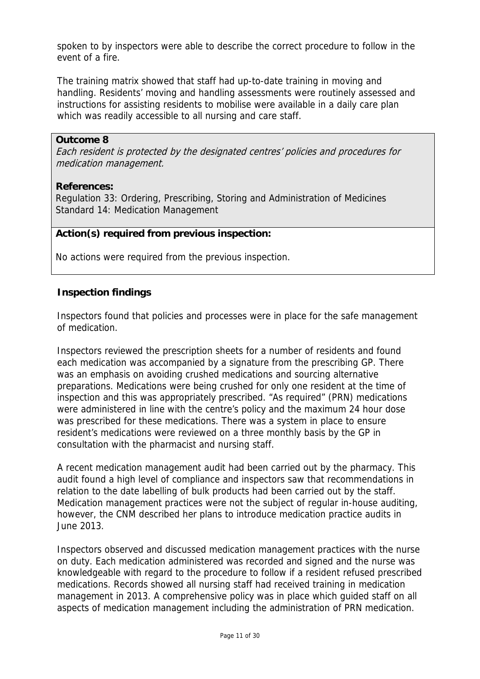spoken to by inspectors were able to describe the correct procedure to follow in the event of a fire.

The training matrix showed that staff had up-to-date training in moving and handling. Residents' moving and handling assessments were routinely assessed and instructions for assisting residents to mobilise were available in a daily care plan which was readily accessible to all nursing and care staff.

#### **Outcome 8**

Each resident is protected by the designated centres' policies and procedures for medication management.

## **References:**

Regulation 33: Ordering, Prescribing, Storing and Administration of Medicines Standard 14: Medication Management

# **Action(s) required from previous inspection:**

No actions were required from the previous inspection.

## **Inspection findings**

Inspectors found that policies and processes were in place for the safe management of medication.

Inspectors reviewed the prescription sheets for a number of residents and found each medication was accompanied by a signature from the prescribing GP. There was an emphasis on avoiding crushed medications and sourcing alternative preparations. Medications were being crushed for only one resident at the time of inspection and this was appropriately prescribed. "As required" (PRN) medications were administered in line with the centre's policy and the maximum 24 hour dose was prescribed for these medications. There was a system in place to ensure resident's medications were reviewed on a three monthly basis by the GP in consultation with the pharmacist and nursing staff.

A recent medication management audit had been carried out by the pharmacy. This audit found a high level of compliance and inspectors saw that recommendations in relation to the date labelling of bulk products had been carried out by the staff. Medication management practices were not the subject of regular in-house auditing, however, the CNM described her plans to introduce medication practice audits in June 2013.

Inspectors observed and discussed medication management practices with the nurse on duty. Each medication administered was recorded and signed and the nurse was knowledgeable with regard to the procedure to follow if a resident refused prescribed medications. Records showed all nursing staff had received training in medication management in 2013. A comprehensive policy was in place which guided staff on all aspects of medication management including the administration of PRN medication.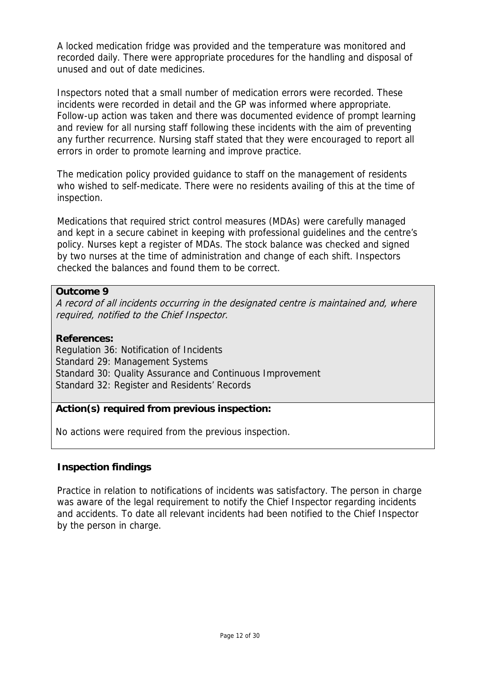A locked medication fridge was provided and the temperature was monitored and recorded daily. There were appropriate procedures for the handling and disposal of unused and out of date medicines.

Inspectors noted that a small number of medication errors were recorded. These incidents were recorded in detail and the GP was informed where appropriate. Follow-up action was taken and there was documented evidence of prompt learning and review for all nursing staff following these incidents with the aim of preventing any further recurrence. Nursing staff stated that they were encouraged to report all errors in order to promote learning and improve practice.

The medication policy provided guidance to staff on the management of residents who wished to self-medicate. There were no residents availing of this at the time of inspection.

Medications that required strict control measures (MDAs) were carefully managed and kept in a secure cabinet in keeping with professional guidelines and the centre's policy. Nurses kept a register of MDAs. The stock balance was checked and signed by two nurses at the time of administration and change of each shift. Inspectors checked the balances and found them to be correct.

## **Outcome 9**

A record of all incidents occurring in the designated centre is maintained and, where required, notified to the Chief Inspector.

## **References:**

Regulation 36: Notification of Incidents Standard 29: Management Systems Standard 30: Quality Assurance and Continuous Improvement Standard 32: Register and Residents' Records

# **Action(s) required from previous inspection:**

No actions were required from the previous inspection.

# **Inspection findings**

Practice in relation to notifications of incidents was satisfactory. The person in charge was aware of the legal requirement to notify the Chief Inspector regarding incidents and accidents. To date all relevant incidents had been notified to the Chief Inspector by the person in charge.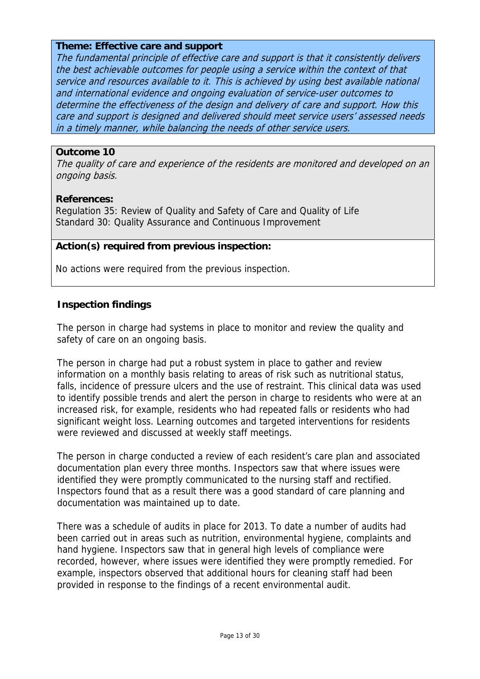### **Theme: Effective care and support**

The fundamental principle of effective care and support is that it consistently delivers the best achievable outcomes for people using a service within the context of that service and resources available to it. This is achieved by using best available national and international evidence and ongoing evaluation of service-user outcomes to determine the effectiveness of the design and delivery of care and support. How this care and support is designed and delivered should meet service users' assessed needs in a timely manner, while balancing the needs of other service users.

#### **Outcome 10**

The quality of care and experience of the residents are monitored and developed on an ongoing basis.

#### **References:**

Regulation 35: Review of Quality and Safety of Care and Quality of Life Standard 30: Quality Assurance and Continuous Improvement

## **Action(s) required from previous inspection:**

No actions were required from the previous inspection.

## **Inspection findings**

The person in charge had systems in place to monitor and review the quality and safety of care on an ongoing basis.

The person in charge had put a robust system in place to gather and review information on a monthly basis relating to areas of risk such as nutritional status, falls, incidence of pressure ulcers and the use of restraint. This clinical data was used to identify possible trends and alert the person in charge to residents who were at an increased risk, for example, residents who had repeated falls or residents who had significant weight loss. Learning outcomes and targeted interventions for residents were reviewed and discussed at weekly staff meetings.

The person in charge conducted a review of each resident's care plan and associated documentation plan every three months. Inspectors saw that where issues were identified they were promptly communicated to the nursing staff and rectified. Inspectors found that as a result there was a good standard of care planning and documentation was maintained up to date.

There was a schedule of audits in place for 2013. To date a number of audits had been carried out in areas such as nutrition, environmental hygiene, complaints and hand hygiene. Inspectors saw that in general high levels of compliance were recorded, however, where issues were identified they were promptly remedied. For example, inspectors observed that additional hours for cleaning staff had been provided in response to the findings of a recent environmental audit.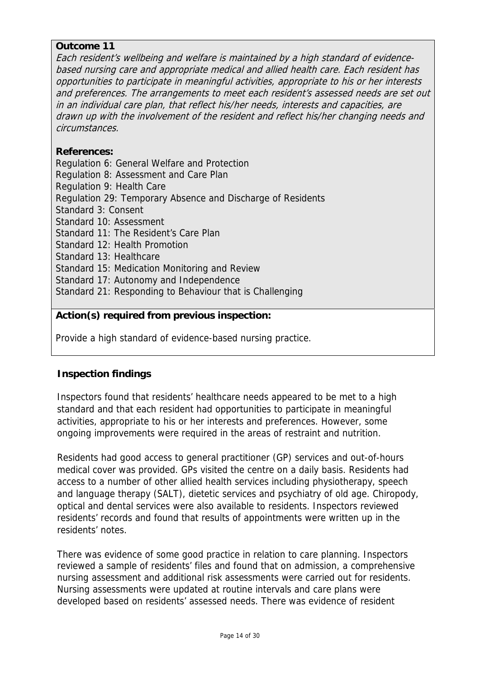## **Outcome 11**

Each resident's wellbeing and welfare is maintained by a high standard of evidencebased nursing care and appropriate medical and allied health care. Each resident has opportunities to participate in meaningful activities, appropriate to his or her interests and preferences. The arrangements to meet each resident's assessed needs are set out in an individual care plan, that reflect his/her needs, interests and capacities, are drawn up with the involvement of the resident and reflect his/her changing needs and circumstances.

# **References:**

Regulation 6: General Welfare and Protection Regulation 8: Assessment and Care Plan Regulation 9: Health Care Regulation 29: Temporary Absence and Discharge of Residents Standard 3: Consent Standard 10: Assessment Standard 11: The Resident's Care Plan Standard 12: Health Promotion Standard 13: Healthcare Standard 15: Medication Monitoring and Review Standard 17: Autonomy and Independence Standard 21: Responding to Behaviour that is Challenging

# **Action(s) required from previous inspection:**

Provide a high standard of evidence-based nursing practice.

# **Inspection findings**

Inspectors found that residents' healthcare needs appeared to be met to a high standard and that each resident had opportunities to participate in meaningful activities, appropriate to his or her interests and preferences. However, some ongoing improvements were required in the areas of restraint and nutrition.

Residents had good access to general practitioner (GP) services and out-of-hours medical cover was provided. GPs visited the centre on a daily basis. Residents had access to a number of other allied health services including physiotherapy, speech and language therapy (SALT), dietetic services and psychiatry of old age. Chiropody, optical and dental services were also available to residents. Inspectors reviewed residents' records and found that results of appointments were written up in the residents' notes.

There was evidence of some good practice in relation to care planning. Inspectors reviewed a sample of residents' files and found that on admission, a comprehensive nursing assessment and additional risk assessments were carried out for residents. Nursing assessments were updated at routine intervals and care plans were developed based on residents' assessed needs. There was evidence of resident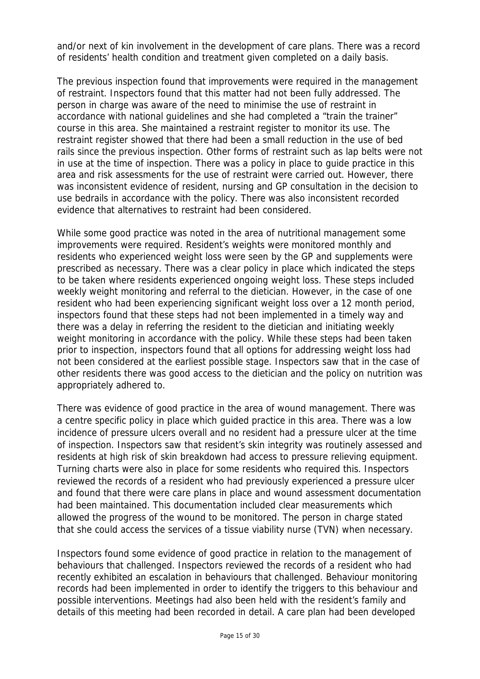and/or next of kin involvement in the development of care plans. There was a record of residents' health condition and treatment given completed on a daily basis.

The previous inspection found that improvements were required in the management of restraint. Inspectors found that this matter had not been fully addressed. The person in charge was aware of the need to minimise the use of restraint in accordance with national guidelines and she had completed a "train the trainer" course in this area. She maintained a restraint register to monitor its use. The restraint register showed that there had been a small reduction in the use of bed rails since the previous inspection. Other forms of restraint such as lap belts were not in use at the time of inspection. There was a policy in place to guide practice in this area and risk assessments for the use of restraint were carried out. However, there was inconsistent evidence of resident, nursing and GP consultation in the decision to use bedrails in accordance with the policy. There was also inconsistent recorded evidence that alternatives to restraint had been considered.

While some good practice was noted in the area of nutritional management some improvements were required. Resident's weights were monitored monthly and residents who experienced weight loss were seen by the GP and supplements were prescribed as necessary. There was a clear policy in place which indicated the steps to be taken where residents experienced ongoing weight loss. These steps included weekly weight monitoring and referral to the dietician. However, in the case of one resident who had been experiencing significant weight loss over a 12 month period, inspectors found that these steps had not been implemented in a timely way and there was a delay in referring the resident to the dietician and initiating weekly weight monitoring in accordance with the policy. While these steps had been taken prior to inspection, inspectors found that all options for addressing weight loss had not been considered at the earliest possible stage. Inspectors saw that in the case of other residents there was good access to the dietician and the policy on nutrition was appropriately adhered to.

There was evidence of good practice in the area of wound management. There was a centre specific policy in place which guided practice in this area. There was a low incidence of pressure ulcers overall and no resident had a pressure ulcer at the time of inspection. Inspectors saw that resident's skin integrity was routinely assessed and residents at high risk of skin breakdown had access to pressure relieving equipment. Turning charts were also in place for some residents who required this. Inspectors reviewed the records of a resident who had previously experienced a pressure ulcer and found that there were care plans in place and wound assessment documentation had been maintained. This documentation included clear measurements which allowed the progress of the wound to be monitored. The person in charge stated that she could access the services of a tissue viability nurse (TVN) when necessary.

Inspectors found some evidence of good practice in relation to the management of behaviours that challenged. Inspectors reviewed the records of a resident who had recently exhibited an escalation in behaviours that challenged. Behaviour monitoring records had been implemented in order to identify the triggers to this behaviour and possible interventions. Meetings had also been held with the resident's family and details of this meeting had been recorded in detail. A care plan had been developed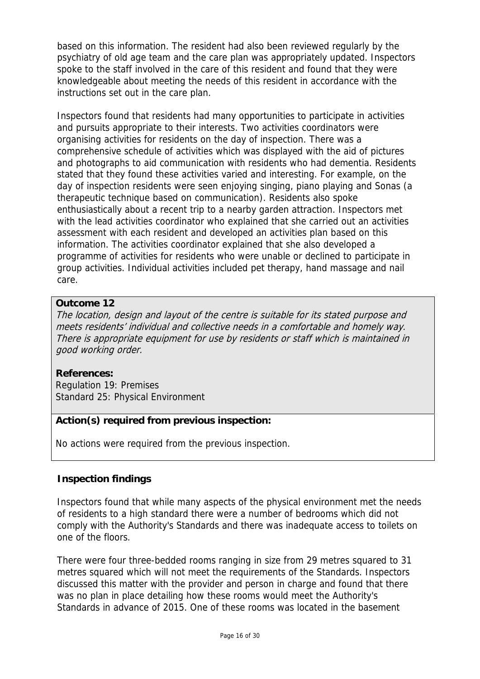based on this information. The resident had also been reviewed regularly by the psychiatry of old age team and the care plan was appropriately updated. Inspectors spoke to the staff involved in the care of this resident and found that they were knowledgeable about meeting the needs of this resident in accordance with the instructions set out in the care plan.

Inspectors found that residents had many opportunities to participate in activities and pursuits appropriate to their interests. Two activities coordinators were organising activities for residents on the day of inspection. There was a comprehensive schedule of activities which was displayed with the aid of pictures and photographs to aid communication with residents who had dementia. Residents stated that they found these activities varied and interesting. For example, on the day of inspection residents were seen enjoying singing, piano playing and Sonas (a therapeutic technique based on communication). Residents also spoke enthusiastically about a recent trip to a nearby garden attraction. Inspectors met with the lead activities coordinator who explained that she carried out an activities assessment with each resident and developed an activities plan based on this information. The activities coordinator explained that she also developed a programme of activities for residents who were unable or declined to participate in group activities. Individual activities included pet therapy, hand massage and nail care.

# **Outcome 12**

The location, design and layout of the centre is suitable for its stated purpose and meets residents' individual and collective needs in a comfortable and homely way. There is appropriate equipment for use by residents or staff which is maintained in good working order.

# **References:**

Regulation 19: Premises Standard 25: Physical Environment

# **Action(s) required from previous inspection:**

No actions were required from the previous inspection.

# **Inspection findings**

Inspectors found that while many aspects of the physical environment met the needs of residents to a high standard there were a number of bedrooms which did not comply with the Authority's Standards and there was inadequate access to toilets on one of the floors.

There were four three-bedded rooms ranging in size from 29 metres squared to 31 metres squared which will not meet the requirements of the Standards. Inspectors discussed this matter with the provider and person in charge and found that there was no plan in place detailing how these rooms would meet the Authority's Standards in advance of 2015. One of these rooms was located in the basement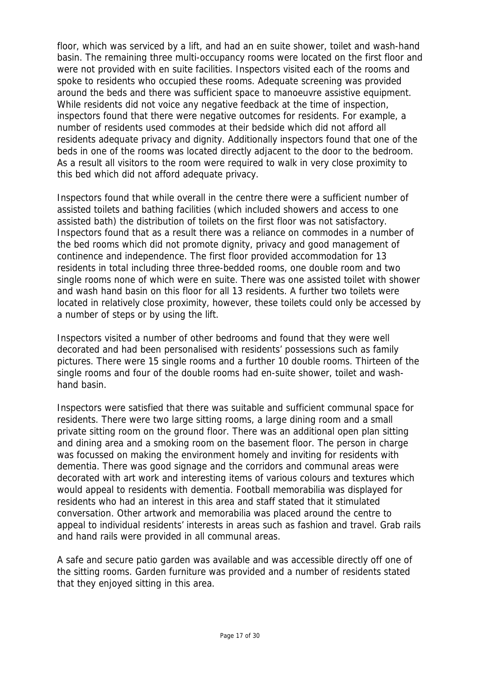floor, which was serviced by a lift, and had an en suite shower, toilet and wash-hand basin. The remaining three multi-occupancy rooms were located on the first floor and were not provided with en suite facilities. Inspectors visited each of the rooms and spoke to residents who occupied these rooms. Adequate screening was provided around the beds and there was sufficient space to manoeuvre assistive equipment. While residents did not voice any negative feedback at the time of inspection, inspectors found that there were negative outcomes for residents. For example, a number of residents used commodes at their bedside which did not afford all residents adequate privacy and dignity. Additionally inspectors found that one of the beds in one of the rooms was located directly adjacent to the door to the bedroom. As a result all visitors to the room were required to walk in very close proximity to this bed which did not afford adequate privacy.

Inspectors found that while overall in the centre there were a sufficient number of assisted toilets and bathing facilities (which included showers and access to one assisted bath) the distribution of toilets on the first floor was not satisfactory. Inspectors found that as a result there was a reliance on commodes in a number of the bed rooms which did not promote dignity, privacy and good management of continence and independence. The first floor provided accommodation for 13 residents in total including three three-bedded rooms, one double room and two single rooms none of which were en suite. There was one assisted toilet with shower and wash hand basin on this floor for all 13 residents. A further two toilets were located in relatively close proximity, however, these toilets could only be accessed by a number of steps or by using the lift.

Inspectors visited a number of other bedrooms and found that they were well decorated and had been personalised with residents' possessions such as family pictures. There were 15 single rooms and a further 10 double rooms. Thirteen of the single rooms and four of the double rooms had en-suite shower, toilet and washhand basin.

Inspectors were satisfied that there was suitable and sufficient communal space for residents. There were two large sitting rooms, a large dining room and a small private sitting room on the ground floor. There was an additional open plan sitting and dining area and a smoking room on the basement floor. The person in charge was focussed on making the environment homely and inviting for residents with dementia. There was good signage and the corridors and communal areas were decorated with art work and interesting items of various colours and textures which would appeal to residents with dementia. Football memorabilia was displayed for residents who had an interest in this area and staff stated that it stimulated conversation. Other artwork and memorabilia was placed around the centre to appeal to individual residents' interests in areas such as fashion and travel. Grab rails and hand rails were provided in all communal areas.

A safe and secure patio garden was available and was accessible directly off one of the sitting rooms. Garden furniture was provided and a number of residents stated that they enjoyed sitting in this area.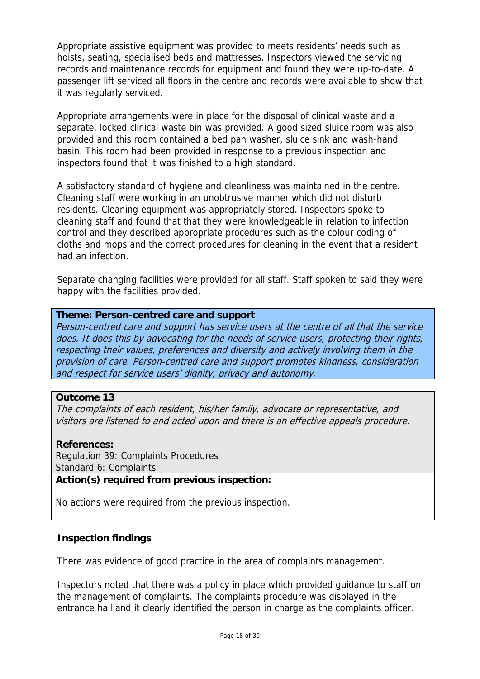Appropriate assistive equipment was provided to meets residents' needs such as hoists, seating, specialised beds and mattresses. Inspectors viewed the servicing records and maintenance records for equipment and found they were up-to-date. A passenger lift serviced all floors in the centre and records were available to show that it was regularly serviced.

Appropriate arrangements were in place for the disposal of clinical waste and a separate, locked clinical waste bin was provided. A good sized sluice room was also provided and this room contained a bed pan washer, sluice sink and wash-hand basin. This room had been provided in response to a previous inspection and inspectors found that it was finished to a high standard.

A satisfactory standard of hygiene and cleanliness was maintained in the centre. Cleaning staff were working in an unobtrusive manner which did not disturb residents. Cleaning equipment was appropriately stored. Inspectors spoke to cleaning staff and found that that they were knowledgeable in relation to infection control and they described appropriate procedures such as the colour coding of cloths and mops and the correct procedures for cleaning in the event that a resident had an infection.

Separate changing facilities were provided for all staff. Staff spoken to said they were happy with the facilities provided.

#### **Theme: Person-centred care and support**

Person-centred care and support has service users at the centre of all that the service does. It does this by advocating for the needs of service users, protecting their rights, respecting their values, preferences and diversity and actively involving them in the provision of care. Person-centred care and support promotes kindness, consideration and respect for service users' dignity, privacy and autonomy.

#### **Outcome 13**

The complaints of each resident, his/her family, advocate or representative, and visitors are listened to and acted upon and there is an effective appeals procedure.

#### **References:**

Regulation 39: Complaints Procedures Standard 6: Complaints

**Action(s) required from previous inspection:**

No actions were required from the previous inspection.

#### **Inspection findings**

There was evidence of good practice in the area of complaints management.

Inspectors noted that there was a policy in place which provided guidance to staff on the management of complaints. The complaints procedure was displayed in the entrance hall and it clearly identified the person in charge as the complaints officer.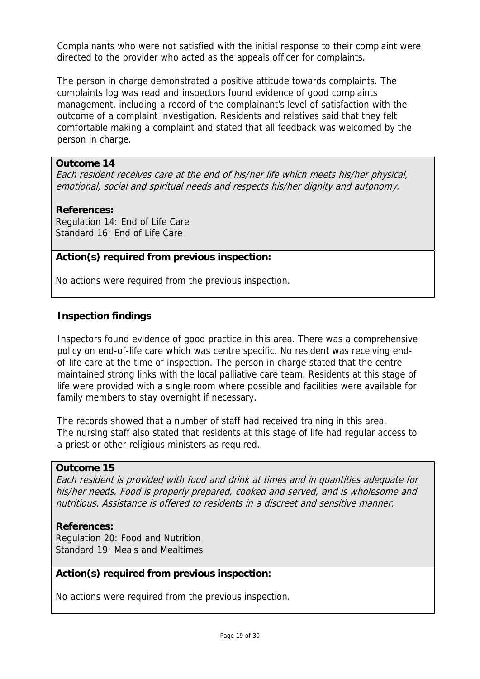Complainants who were not satisfied with the initial response to their complaint were directed to the provider who acted as the appeals officer for complaints.

The person in charge demonstrated a positive attitude towards complaints. The complaints log was read and inspectors found evidence of good complaints management, including a record of the complainant's level of satisfaction with the outcome of a complaint investigation. Residents and relatives said that they felt comfortable making a complaint and stated that all feedback was welcomed by the person in charge.

## **Outcome 14**

Each resident receives care at the end of his/her life which meets his/her physical, emotional, social and spiritual needs and respects his/her dignity and autonomy.

## **References:**

Regulation 14: End of Life Care Standard 16: End of Life Care

## **Action(s) required from previous inspection:**

No actions were required from the previous inspection.

## **Inspection findings**

Inspectors found evidence of good practice in this area. There was a comprehensive policy on end-of-life care which was centre specific. No resident was receiving endof-life care at the time of inspection. The person in charge stated that the centre maintained strong links with the local palliative care team. Residents at this stage of life were provided with a single room where possible and facilities were available for family members to stay overnight if necessary.

The records showed that a number of staff had received training in this area. The nursing staff also stated that residents at this stage of life had regular access to a priest or other religious ministers as required.

#### **Outcome 15**

Each resident is provided with food and drink at times and in quantities adequate for his/her needs. Food is properly prepared, cooked and served, and is wholesome and nutritious. Assistance is offered to residents in a discreet and sensitive manner.

#### **References:**

Regulation 20: Food and Nutrition Standard 19: Meals and Mealtimes

#### **Action(s) required from previous inspection:**

No actions were required from the previous inspection.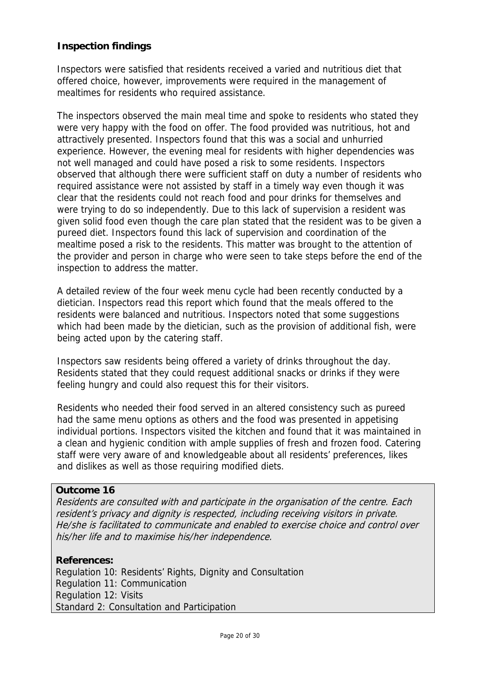# **Inspection findings**

Inspectors were satisfied that residents received a varied and nutritious diet that offered choice, however, improvements were required in the management of mealtimes for residents who required assistance.

The inspectors observed the main meal time and spoke to residents who stated they were very happy with the food on offer. The food provided was nutritious, hot and attractively presented. Inspectors found that this was a social and unhurried experience. However, the evening meal for residents with higher dependencies was not well managed and could have posed a risk to some residents. Inspectors observed that although there were sufficient staff on duty a number of residents who required assistance were not assisted by staff in a timely way even though it was clear that the residents could not reach food and pour drinks for themselves and were trying to do so independently. Due to this lack of supervision a resident was given solid food even though the care plan stated that the resident was to be given a pureed diet. Inspectors found this lack of supervision and coordination of the mealtime posed a risk to the residents. This matter was brought to the attention of the provider and person in charge who were seen to take steps before the end of the inspection to address the matter.

A detailed review of the four week menu cycle had been recently conducted by a dietician. Inspectors read this report which found that the meals offered to the residents were balanced and nutritious. Inspectors noted that some suggestions which had been made by the dietician, such as the provision of additional fish, were being acted upon by the catering staff.

Inspectors saw residents being offered a variety of drinks throughout the day. Residents stated that they could request additional snacks or drinks if they were feeling hungry and could also request this for their visitors.

Residents who needed their food served in an altered consistency such as pureed had the same menu options as others and the food was presented in appetising individual portions. Inspectors visited the kitchen and found that it was maintained in a clean and hygienic condition with ample supplies of fresh and frozen food. Catering staff were very aware of and knowledgeable about all residents' preferences, likes and dislikes as well as those requiring modified diets.

#### **Outcome 16**

Residents are consulted with and participate in the organisation of the centre. Each resident's privacy and dignity is respected, including receiving visitors in private. He/she is facilitated to communicate and enabled to exercise choice and control over his/her life and to maximise his/her independence.

#### **References:**

Regulation 10: Residents' Rights, Dignity and Consultation Regulation 11: Communication Regulation 12: Visits Standard 2: Consultation and Participation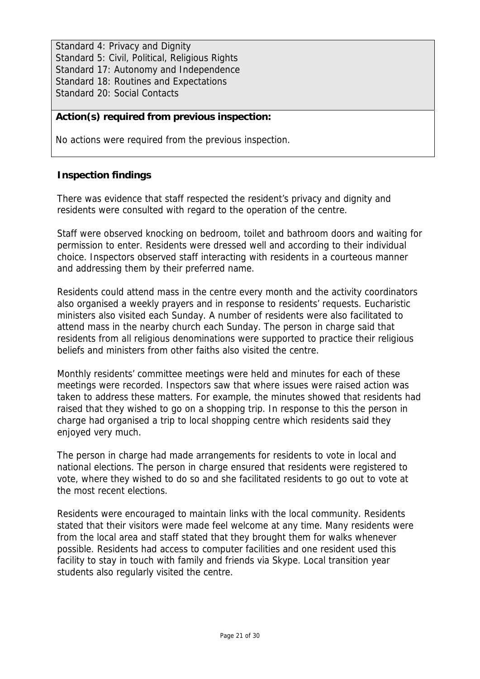Standard 4: Privacy and Dignity Standard 5: Civil, Political, Religious Rights Standard 17: Autonomy and Independence Standard 18: Routines and Expectations Standard 20: Social Contacts

# **Action(s) required from previous inspection:**

No actions were required from the previous inspection.

# **Inspection findings**

There was evidence that staff respected the resident's privacy and dignity and residents were consulted with regard to the operation of the centre.

Staff were observed knocking on bedroom, toilet and bathroom doors and waiting for permission to enter. Residents were dressed well and according to their individual choice. Inspectors observed staff interacting with residents in a courteous manner and addressing them by their preferred name.

Residents could attend mass in the centre every month and the activity coordinators also organised a weekly prayers and in response to residents' requests. Eucharistic ministers also visited each Sunday. A number of residents were also facilitated to attend mass in the nearby church each Sunday. The person in charge said that residents from all religious denominations were supported to practice their religious beliefs and ministers from other faiths also visited the centre.

Monthly residents' committee meetings were held and minutes for each of these meetings were recorded. Inspectors saw that where issues were raised action was taken to address these matters. For example, the minutes showed that residents had raised that they wished to go on a shopping trip. In response to this the person in charge had organised a trip to local shopping centre which residents said they enjoyed very much.

The person in charge had made arrangements for residents to vote in local and national elections. The person in charge ensured that residents were registered to vote, where they wished to do so and she facilitated residents to go out to vote at the most recent elections.

Residents were encouraged to maintain links with the local community. Residents stated that their visitors were made feel welcome at any time. Many residents were from the local area and staff stated that they brought them for walks whenever possible. Residents had access to computer facilities and one resident used this facility to stay in touch with family and friends via Skype. Local transition year students also regularly visited the centre.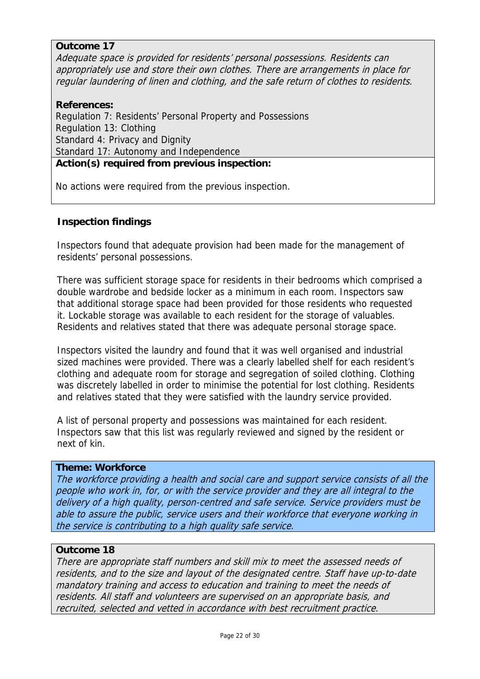### **Outcome 17**

Adequate space is provided for residents' personal possessions. Residents can appropriately use and store their own clothes. There are arrangements in place for regular laundering of linen and clothing, and the safe return of clothes to residents.

### **References:**

Regulation 7: Residents' Personal Property and Possessions Regulation 13: Clothing Standard 4: Privacy and Dignity Standard 17: Autonomy and Independence

# **Action(s) required from previous inspection:**

No actions were required from the previous inspection.

## **Inspection findings**

Inspectors found that adequate provision had been made for the management of residents' personal possessions.

There was sufficient storage space for residents in their bedrooms which comprised a double wardrobe and bedside locker as a minimum in each room. Inspectors saw that additional storage space had been provided for those residents who requested it. Lockable storage was available to each resident for the storage of valuables. Residents and relatives stated that there was adequate personal storage space.

Inspectors visited the laundry and found that it was well organised and industrial sized machines were provided. There was a clearly labelled shelf for each resident's clothing and adequate room for storage and segregation of soiled clothing. Clothing was discretely labelled in order to minimise the potential for lost clothing. Residents and relatives stated that they were satisfied with the laundry service provided.

A list of personal property and possessions was maintained for each resident. Inspectors saw that this list was regularly reviewed and signed by the resident or next of kin.

#### **Theme: Workforce**

The workforce providing a health and social care and support service consists of all the people who work in, for, or with the service provider and they are all integral to the delivery of a high quality, person-centred and safe service. Service providers must be able to assure the public, service users and their workforce that everyone working in the service is contributing to a high quality safe service.

#### **Outcome 18**

There are appropriate staff numbers and skill mix to meet the assessed needs of residents, and to the size and layout of the designated centre. Staff have up-to-date mandatory training and access to education and training to meet the needs of residents. All staff and volunteers are supervised on an appropriate basis, and recruited, selected and vetted in accordance with best recruitment practice.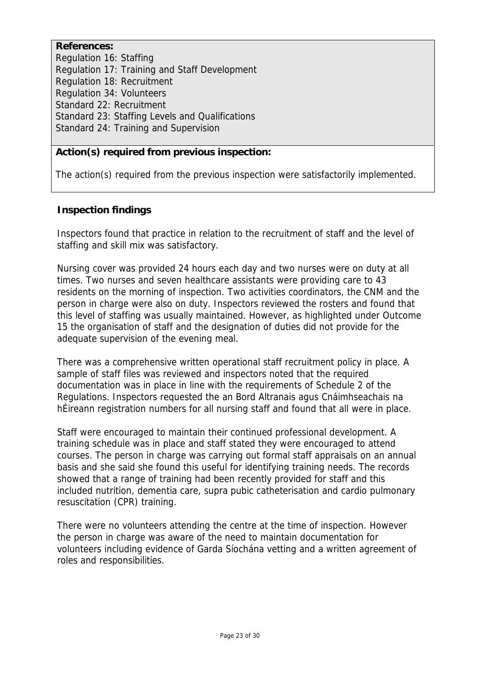**References:**  Regulation 16: Staffing Regulation 17: Training and Staff Development Regulation 18: Recruitment Regulation 34: Volunteers Standard 22: Recruitment Standard 23: Staffing Levels and Qualifications Standard 24: Training and Supervision

# **Action(s) required from previous inspection:**

The action(s) required from the previous inspection were satisfactorily implemented.

## **Inspection findings**

Inspectors found that practice in relation to the recruitment of staff and the level of staffing and skill mix was satisfactory.

Nursing cover was provided 24 hours each day and two nurses were on duty at all times. Two nurses and seven healthcare assistants were providing care to 43 residents on the morning of inspection. Two activities coordinators, the CNM and the person in charge were also on duty. Inspectors reviewed the rosters and found that this level of staffing was usually maintained. However, as highlighted under Outcome 15 the organisation of staff and the designation of duties did not provide for the adequate supervision of the evening meal.

There was a comprehensive written operational staff recruitment policy in place. A sample of staff files was reviewed and inspectors noted that the required documentation was in place in line with the requirements of Schedule 2 of the Regulations. Inspectors requested the an Bord Altranais agus Cnáimhseachais na hÉireann registration numbers for all nursing staff and found that all were in place.

Staff were encouraged to maintain their continued professional development. A training schedule was in place and staff stated they were encouraged to attend courses. The person in charge was carrying out formal staff appraisals on an annual basis and she said she found this useful for identifying training needs. The records showed that a range of training had been recently provided for staff and this included nutrition, dementia care, supra pubic catheterisation and cardio pulmonary resuscitation (CPR) training.

There were no volunteers attending the centre at the time of inspection. However the person in charge was aware of the need to maintain documentation for volunteers including evidence of Garda Síochána vetting and a written agreement of roles and responsibilities.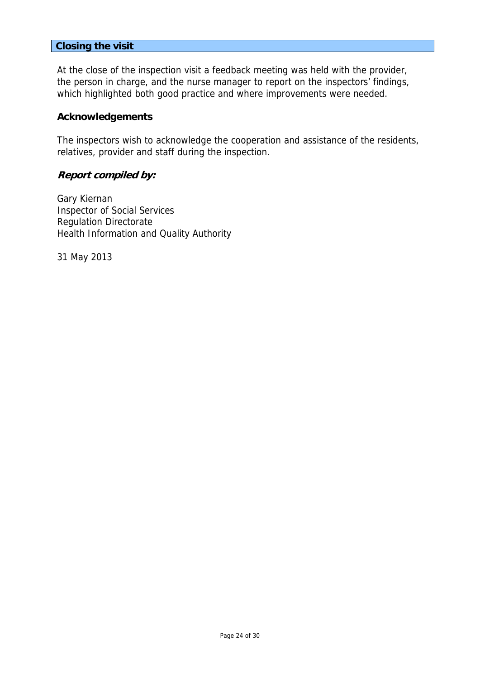#### **Closing the visit**

At the close of the inspection visit a feedback meeting was held with the provider, the person in charge, and the nurse manager to report on the inspectors' findings, which highlighted both good practice and where improvements were needed.

#### **Acknowledgements**

The inspectors wish to acknowledge the cooperation and assistance of the residents, relatives, provider and staff during the inspection.

#### **Report compiled by:**

Gary Kiernan Inspector of Social Services Regulation Directorate Health Information and Quality Authority

31 May 2013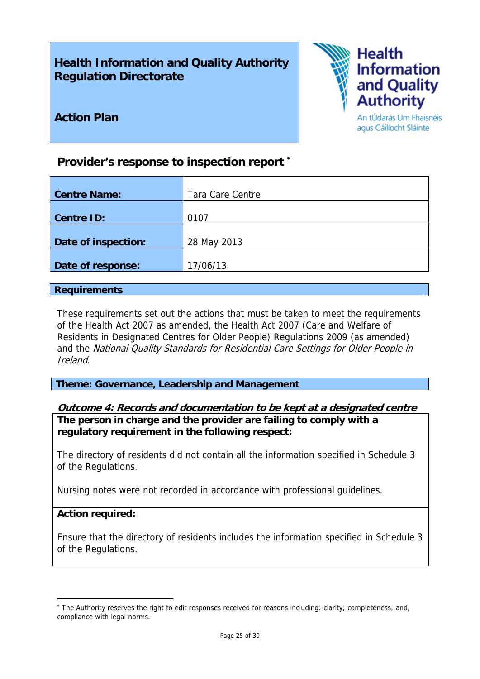# **Health Information and Quality Authority Regulation Directorate**



# **Action Plan**

An tÚdarás Um Fhaisnéis agus Cáilíocht Sláinte

# **Provider's response to inspection report** <sup>∗</sup>

| <b>Centre Name:</b> | Tara Care Centre |
|---------------------|------------------|
|                     |                  |
| <b>Centre ID:</b>   | 0107             |
|                     |                  |
| Date of inspection: | 28 May 2013      |
|                     |                  |
| Date of response:   | 17/06/13         |

#### **Requirements**

These requirements set out the actions that must be taken to meet the requirements of the Health Act 2007 as amended, the Health Act 2007 (Care and Welfare of Residents in Designated Centres for Older People) Regulations 2009 (as amended) and the National Quality Standards for Residential Care Settings for Older People in Ireland.

**Theme: Governance, Leadership and Management** 

#### **Outcome 4: Records and documentation to be kept at a designated centre The person in charge and the provider are failing to comply with a**

**regulatory requirement in the following respect:**

The directory of residents did not contain all the information specified in Schedule 3 of the Regulations.

Nursing notes were not recorded in accordance with professional guidelines.

#### **Action required:**

<u>.</u>

Ensure that the directory of residents includes the information specified in Schedule 3 of the Regulations.

<sup>∗</sup> The Authority reserves the right to edit responses received for reasons including: clarity; completeness; and, compliance with legal norms.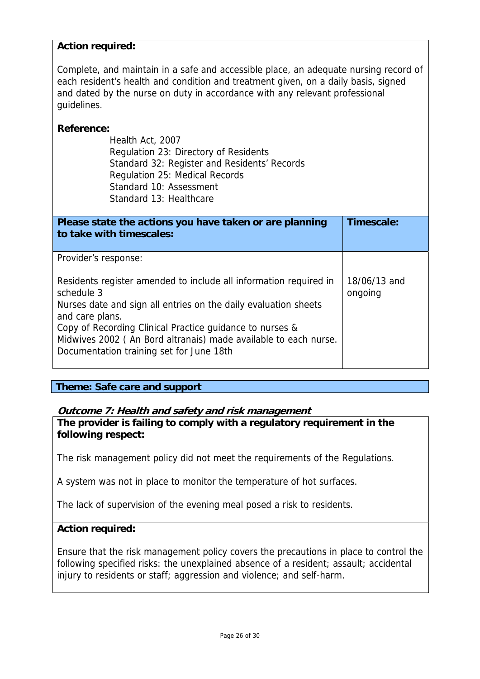## **Action required:**

Complete, and maintain in a safe and accessible place, an adequate nursing record of each resident's health and condition and treatment given, on a daily basis, signed and dated by the nurse on duty in accordance with any relevant professional guidelines.

| <b>Reference:</b>                                                 |              |  |
|-------------------------------------------------------------------|--------------|--|
| Health Act, 2007                                                  |              |  |
| Regulation 23: Directory of Residents                             |              |  |
| Standard 32: Register and Residents' Records                      |              |  |
| Regulation 25: Medical Records                                    |              |  |
| Standard 10: Assessment                                           |              |  |
| Standard 13: Healthcare                                           |              |  |
|                                                                   |              |  |
| Please state the actions you have taken or are planning           | Timescale:   |  |
| to take with timescales:                                          |              |  |
|                                                                   |              |  |
| Provider's response:                                              |              |  |
|                                                                   |              |  |
| Residents register amended to include all information required in | 18/06/13 and |  |
| schedule 3                                                        | ongoing      |  |
| Nurses date and sign all entries on the daily evaluation sheets   |              |  |
| and care plans.                                                   |              |  |
| Copy of Recording Clinical Practice guidance to nurses &          |              |  |
| Midwives 2002 (An Bord altranais) made available to each nurse.   |              |  |
| Documentation training set for June 18th                          |              |  |
|                                                                   |              |  |

#### **Theme: Safe care and support**

# **Outcome 7: Health and safety and risk management**

**The provider is failing to comply with a regulatory requirement in the following respect:**

The risk management policy did not meet the requirements of the Regulations.

A system was not in place to monitor the temperature of hot surfaces.

The lack of supervision of the evening meal posed a risk to residents.

#### **Action required:**

Ensure that the risk management policy covers the precautions in place to control the following specified risks: the unexplained absence of a resident; assault; accidental injury to residents or staff; aggression and violence; and self-harm.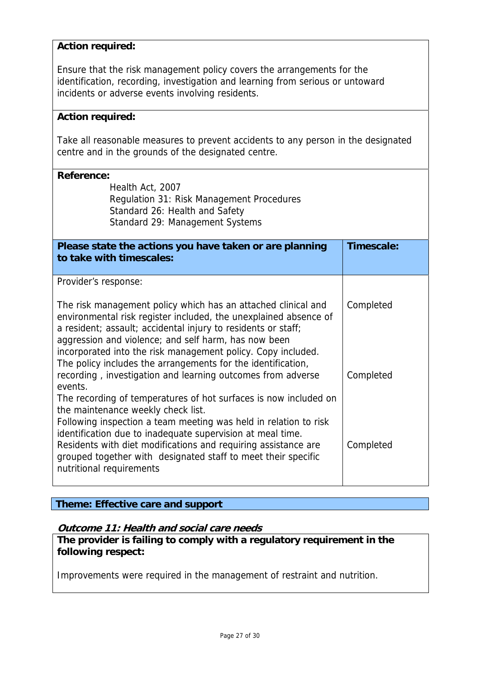## **Action required:**

Ensure that the risk management policy covers the arrangements for the identification, recording, investigation and learning from serious or untoward incidents or adverse events involving residents.

#### **Action required:**

Take all reasonable measures to prevent accidents to any person in the designated centre and in the grounds of the designated centre.

### **Reference:**

Health Act, 2007 Regulation 31: Risk Management Procedures Standard 26: Health and Safety Standard 29: Management Systems

| Please state the actions you have taken or are planning<br>to take with timescales:                                                                                                                                                                                                                                                                                                        | Timescale: |
|--------------------------------------------------------------------------------------------------------------------------------------------------------------------------------------------------------------------------------------------------------------------------------------------------------------------------------------------------------------------------------------------|------------|
| Provider's response:                                                                                                                                                                                                                                                                                                                                                                       |            |
| The risk management policy which has an attached clinical and<br>environmental risk register included, the unexplained absence of<br>a resident; assault; accidental injury to residents or staff;<br>aggression and violence; and self harm, has now been<br>incorporated into the risk management policy. Copy included.<br>The policy includes the arrangements for the identification, | Completed  |
| recording, investigation and learning outcomes from adverse<br>events.                                                                                                                                                                                                                                                                                                                     | Completed  |

The recording of temperatures of hot surfaces is now included on the maintenance weekly check list. Following inspection a team meeting was held in relation to risk identification due to inadequate supervision at meal time. Residents with diet modifications and requiring assistance are grouped together with designated staff to meet their specific nutritional requirements Completed

#### **Theme: Effective care and support**

#### **Outcome 11: Health and social care needs**

**The provider is failing to comply with a regulatory requirement in the following respect:**

Improvements were required in the management of restraint and nutrition.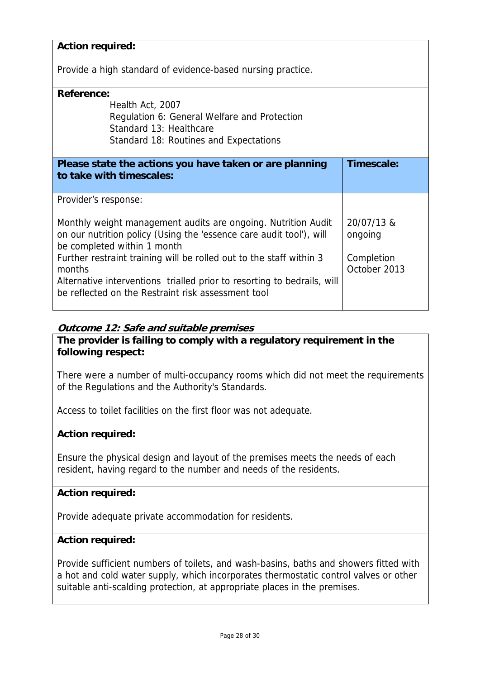| <b>Action required:</b>                                                 |              |  |
|-------------------------------------------------------------------------|--------------|--|
| Provide a high standard of evidence-based nursing practice.             |              |  |
| <b>Reference:</b>                                                       |              |  |
| Health Act, 2007                                                        |              |  |
| Regulation 6: General Welfare and Protection                            |              |  |
| Standard 13: Healthcare                                                 |              |  |
| Standard 18: Routines and Expectations                                  |              |  |
|                                                                         |              |  |
| Please state the actions you have taken or are planning                 | Timescale:   |  |
| to take with timescales:                                                |              |  |
| Provider's response:                                                    |              |  |
|                                                                         |              |  |
| Monthly weight management audits are ongoing. Nutrition Audit           | 20/07/13 &   |  |
| on our nutrition policy (Using the 'essence care audit tool'), will     | ongoing      |  |
| be completed within 1 month                                             |              |  |
| Further restraint training will be rolled out to the staff within 3     | Completion   |  |
| months                                                                  | October 2013 |  |
| Alternative interventions trialled prior to resorting to bedrails, will |              |  |
| be reflected on the Restraint risk assessment tool                      |              |  |
|                                                                         |              |  |

# **Outcome 12: Safe and suitable premises**

# **The provider is failing to comply with a regulatory requirement in the following respect:**

There were a number of multi-occupancy rooms which did not meet the requirements of the Regulations and the Authority's Standards.

Access to toilet facilities on the first floor was not adequate.

# **Action required:**

Ensure the physical design and layout of the premises meets the needs of each resident, having regard to the number and needs of the residents.

# **Action required:**

Provide adequate private accommodation for residents.

#### **Action required:**

Provide sufficient numbers of toilets, and wash-basins, baths and showers fitted with a hot and cold water supply, which incorporates thermostatic control valves or other suitable anti-scalding protection, at appropriate places in the premises.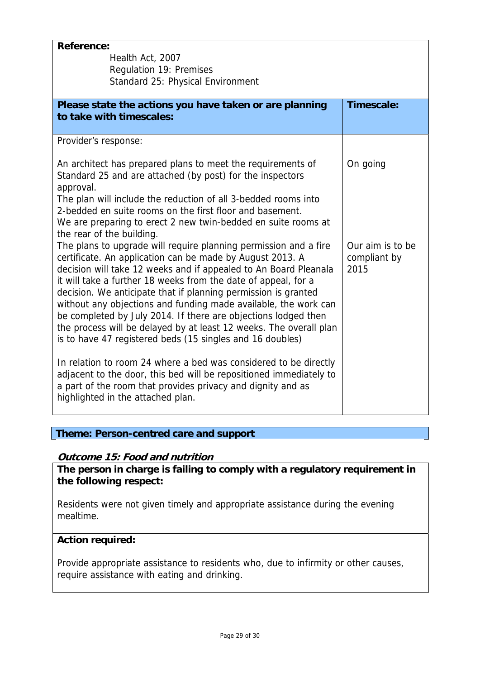| <b>Reference:</b><br>Health Act, 2007<br><b>Regulation 19: Premises</b><br>Standard 25: Physical Environment                                                                                                                                                                                                                                                                                                                                                                                                                                                                                                  |                                          |
|---------------------------------------------------------------------------------------------------------------------------------------------------------------------------------------------------------------------------------------------------------------------------------------------------------------------------------------------------------------------------------------------------------------------------------------------------------------------------------------------------------------------------------------------------------------------------------------------------------------|------------------------------------------|
| Please state the actions you have taken or are planning<br>to take with timescales:                                                                                                                                                                                                                                                                                                                                                                                                                                                                                                                           | Timescale:                               |
| Provider's response:<br>An architect has prepared plans to meet the requirements of                                                                                                                                                                                                                                                                                                                                                                                                                                                                                                                           | On going                                 |
| Standard 25 and are attached (by post) for the inspectors<br>approval.<br>The plan will include the reduction of all 3-bedded rooms into<br>2-bedded en suite rooms on the first floor and basement.<br>We are preparing to erect 2 new twin-bedded en suite rooms at<br>the rear of the building.                                                                                                                                                                                                                                                                                                            |                                          |
| The plans to upgrade will require planning permission and a fire<br>certificate. An application can be made by August 2013. A<br>decision will take 12 weeks and if appealed to An Board Pleanala<br>it will take a further 18 weeks from the date of appeal, for a<br>decision. We anticipate that if planning permission is granted<br>without any objections and funding made available, the work can<br>be completed by July 2014. If there are objections lodged then<br>the process will be delayed by at least 12 weeks. The overall plan<br>is to have 47 registered beds (15 singles and 16 doubles) | Our aim is to be<br>compliant by<br>2015 |
| In relation to room 24 where a bed was considered to be directly<br>adjacent to the door, this bed will be repositioned immediately to<br>a part of the room that provides privacy and dignity and as<br>highlighted in the attached plan.                                                                                                                                                                                                                                                                                                                                                                    |                                          |

# **Theme: Person-centred care and support**

# **Outcome 15: Food and nutrition**

**The person in charge is failing to comply with a regulatory requirement in the following respect:**

Residents were not given timely and appropriate assistance during the evening mealtime.

# **Action required:**

Provide appropriate assistance to residents who, due to infirmity or other causes, require assistance with eating and drinking.